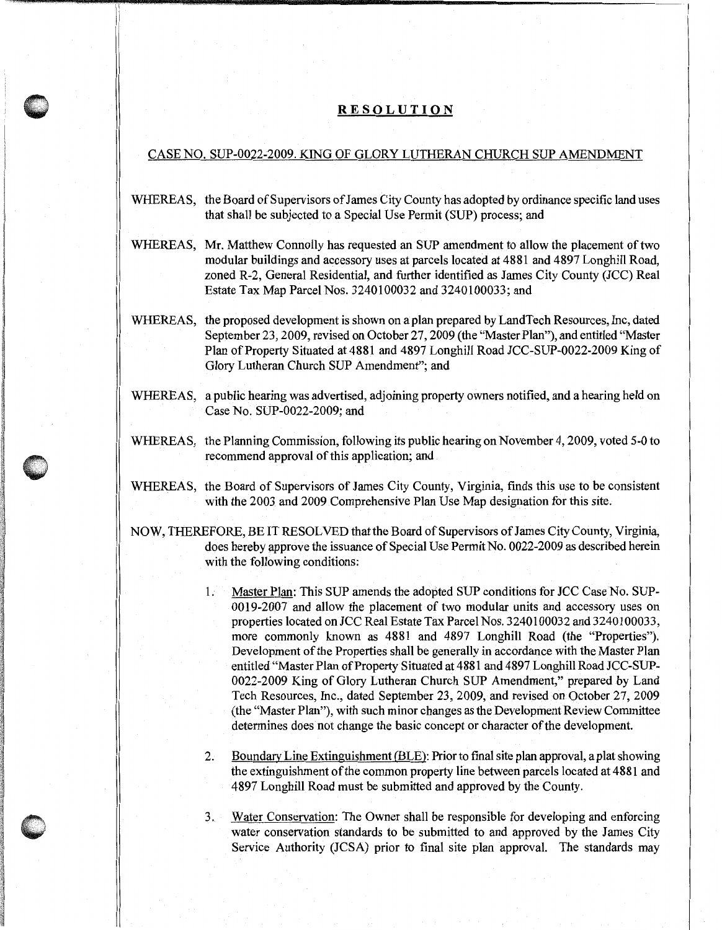## **RESOLUTION**

## CASE NO. SUP-0022-2009. KING OF GLORY LUTHERAN CHURCH SUP AMENDMENT

- WHEREAS, the Board of Supervisors of James City County has adopted by ordinance specific land uses that shall be subjected to a Special Use Permit (SUP) process; and
- WHEREAS, Mr. Matthew Connolly has requested an SUP amendment to allow the placement of two modular buildings and accessory uses at parcels located at 4881 and 4897 Longhill Road, zoned R-2, General Residential, and further identified as James City County (JCC) Real Estate Tax Map Parcel Nos. 3240100032 and 3240100033; and
- WHEREAS, the proposed development is shown on a plan prepared by LandTech Resources, Inc, dated September 23, 2009, revised on October 27, 2009 (the "Master Plan"), and entitled "Master Plan of Property Situated at 4881 and 4897 Longhill Road JCC-SUP-0022-2009 King of Glory Lutheran Church SUP Amendment"; and
- WHEREAS, a public hearing was advertised, adjoining property owners notified, and a hearing held on Case No. SUP-0022-2009; and
- WHEREAS, the Planning Commission, following its public hearing on November 4, 2009, voted 5-0 to recommend approval of this application; and
- WHEREAS, the Board of Supervisors of James City County, Virginia, finds this use to be consistent with the 2003 and 2009 Comprehensive Plan Use Map designation for this site.
- NOW, THEREFORE, BE IT RESOLVED thatthe Board of Supervisors of James City County, Virginia, does hereby approve the issuance of Special Use Permit No. 0022-2009 as described herein with the following conditions:
	- 1. Master Plan: This SUP amends the adopted SUP conditions for JCC Case No. SUP-0019-2007 and allow the placement of two modular units and accessory uses on properties located on JCC Real Estate Tax Parcel Nos. 3240100032 and 3240100033, more commonly known as 4881 and 4897 Longhill Road (the "Properties"). Development of the Properties shall be generally in accordance with the Master Plan entitled "Master Plan of Property Situated at 4881 and 4897 Longhill Road JCC-SUP-0022-2009 King of Glory Lutheran Church SUP Amendment," prepared by Land Tech Resources, Inc., dated September 23, 2009, and revised on October 27, 2009 (the "Master Plan"), with such minor changes as the Development Review Committee determines does not change the basic concept or character of the development.
	- 2. Boundary Line Extinguishment (BLE): Prior to final site plan approval, a plat showing the extinguishment of the common property line between parcels located at 4881 and 4897 Longhill Road must be submitted and approved by the County.
	- 3. Water Conservation: The Owner shall be responsible for developing and enforcing water conservation standards to be submitted to and approved by the James City Service Authority (JCSA) prior to final site plan approval. The standards may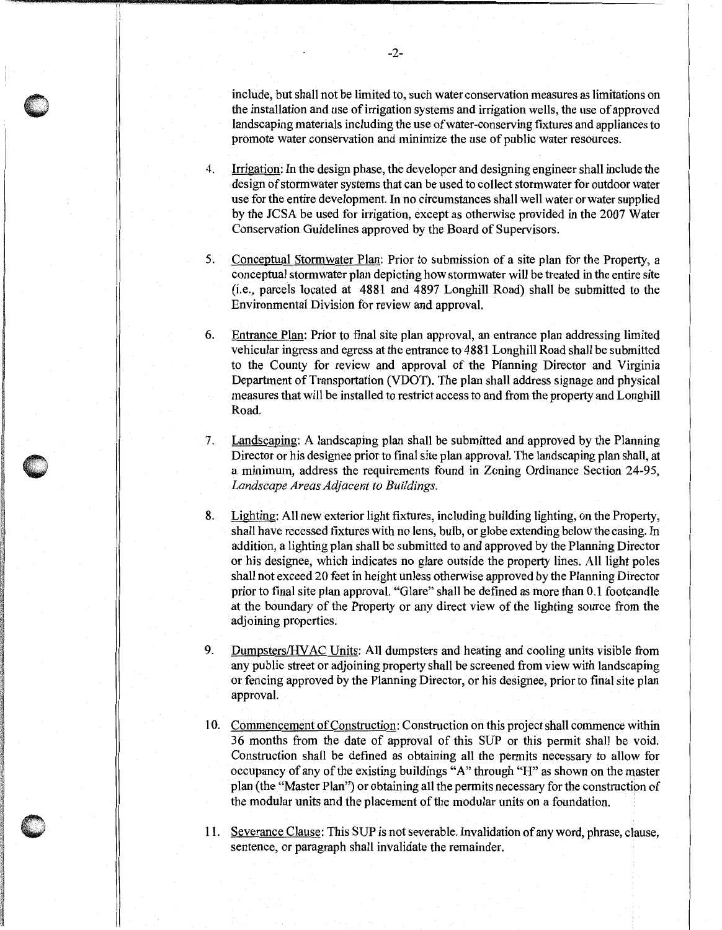include, but shall not be limited to, such water conservation measures as limitations on the installation and use of irrigation systems and irrigation wells, the use of approved landscaping materials including the use of water-conserving fixtures and appliances to promote water conservation and minimize the use of public water resources.

- 4. Irrigation: In the design phase, the developer and designing engineer shall include the design of stormwater systems that can be used to collect storm water for outdoor water use for the entire development. In no circumstances shall well water or water supplied by the JCSA be used for irrigation, except as otherwise provided in the 2007 Water Conservation Guidelines approved by the Board of Supervisors.
- 5. Conceptual Stormwater Plan: Prior to submission of a site plan for the Property, a conceptual stormwater plan depicting how stormwater will be treated in the entire site (i.e., parcels located at 4881 and 4897 Longhill Road) shall be submitted to the Environmental Division for review and approval.
- 6. Entrance Plan: Prior to final site plan approval, an entrance plan addressing limited vehicular ingress and egress at the entrance to 4881 Longhill Road shall be submitted to the County for review and approval of the Planning Director and Virginia Department of Transportation (VDOT). The plan shall address signage and physical measures that will be installed to restrict access to and from the property and Longhill Road.
- 7. Landscaping: A landscaping plan shall be submitted and approved by the Planning Director or his designee prior to final site plan approval. The landscaping plan shall, at a minimum, address the requirements found in Zoning Ordinance Section 24-95, *Landscape Areas Adjacent to Buildings.*
- 8. Lighting: All new exterior light fixtures, including building lighting, on the Property, shall have recessed fixtures with no lens, bulb, or globe extending below the casing. In addition, a lighting plan shall be submitted to and approved by the Planning Director or his designee, which indicates no glare outside the property lines. All light poles shall not exceed 20 feet in height unless otherwise approved by the Planning Director prior to final site plan approval. "Glare" shall be defined as more than 0.1 footcandle at the boundary of the Property or any direct view of the lighting source from the adjoining properties.
- 9. Dumpsters/HY AC Units: All dumpsters and heating and cooling units visible from any public street or adjoining property shall be screened from view with landscaping or fencing approved by the Planning Director, or his designee, prior to final site plan approval.
- 10. Commencement of Construction: Construction on this project shall commence within 36 months from the date of approval of this SUP or this permit shall be void. Construction shall be defined as obtaining all the permits necessary to allow for occupancy of any of the existing buildings "A" through "H" as shown on the master plan (the "Master Plan") or obtaining all the permits necessary for the constructibn of the modular units and the placement of the modular units on a foundation.
- 11. Severance Clause: This SUP is not severable. Invalidation of any word, phrase, clause, sentence, or paragraph shall invalidate the remainder.

, IT '  $\mathbf{I}$